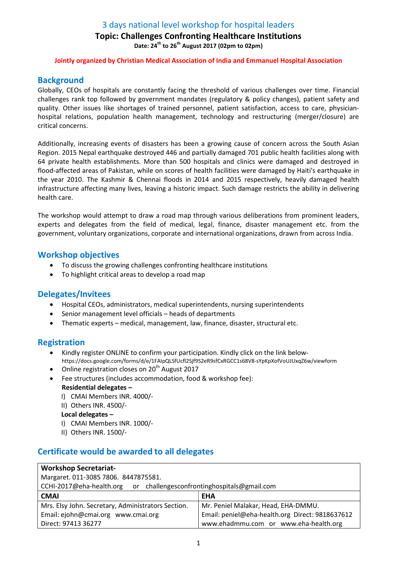# 3 days national level workshop for hospital leaders

## Topic: Challenges Confronting Healthcare Institutions Date:  $24^{th}$  to  $26^{th}$  August 2017 (02pm to 02pm)

### Jointly organized by Christian Medical Association of India and Emmanuel Hospital Association

## **Background**

Globally, CEOs of hospitals are constantly facing the threshold of various challenges over time. Financial challenges rank top followed by government mandates (regulatory & policy changes), patient safety and quality. Other issues like shortages of trained personnel, patient satisfaction, access to care, physicianhospital relations, population health management, technology and restructuring (merger/closure) are critical concerns.

Additionally, increasing events of disasters has been a growing cause of concern across the South Asian Region. 2015 Nepal earthquake destroyed 446 and partially damaged 701 public health facilities along with 64 private health establishments. More than 500 hospitals and clinics were damaged and destroyed in flood-affected areas of Pakistan, while on scores of health facilities were damaged by Haiti's earthquake in the year 2010. The Kashmir & Chennai floods in 2014 and 2015 respectively, heavily damaged health infrastructure affecting many lives, leaving a historic impact. Such damage restricts the ability in delivering health care.

The workshop would attempt to draw a road map through various deliberations from prominent leaders, experts and delegates from the field of medical, legal, finance, disaster management etc. from the government, voluntary organizations, corporate and international organizations, drawn from across India.

### Workshop objectives

- To discuss the growing challenges confronting healthcare institutions
- To highlight critical areas to develop a road map

## Delegates/Invitees

- Hospital CEOs, administrators, medical superintendents, nursing superintendents
- Senior management level officials heads of departments
- Thematic experts medical, management, law, finance, disaster, structural etc.

### Registration

- Kindly register ONLINE to confirm your participation. Kindly click on the link belowhttps://docs.google.com/forms/d/e/1FAIpQLSfUcfl2Sjf9S2eR9sfCxRGCC1s68V8-sYpKpXofVoUJUxqZ6w/viewform
- $\bullet$  Online registration closes on 20<sup>th</sup> August 2017
- Fee structures (includes accommodation, food & workshop fee): Residential delegates –
	- I) CMAI Members INR. 4000/-
	- II) Others INR. 4500/-
	- Local delegates –
	- I) CMAI Members INR. 1000/-
	- II) Others INR. 1500/-

## Certificate would be awarded to all delegates

| <b>Workshop Secretariat-</b>                                         |                                                 |
|----------------------------------------------------------------------|-------------------------------------------------|
| Margaret. 011-3085 7806. 8447875581.                                 |                                                 |
| CCHI-2017@eha-health.org or challengesconfrontinghospitals@gmail.com |                                                 |
| <b>CMAI</b>                                                          | <b>EHA</b>                                      |
| Mrs. Elsy John. Secretary, Administrators Section.                   | Mr. Peniel Malakar, Head, EHA-DMMU.             |
| Email: ejohn@cmai.org www.cmai.org                                   | Email: peniel@eha-health.org Direct: 9818637612 |
| Direct: 97413 36277                                                  | www.ehadmmu.com or www.eha-health.org           |